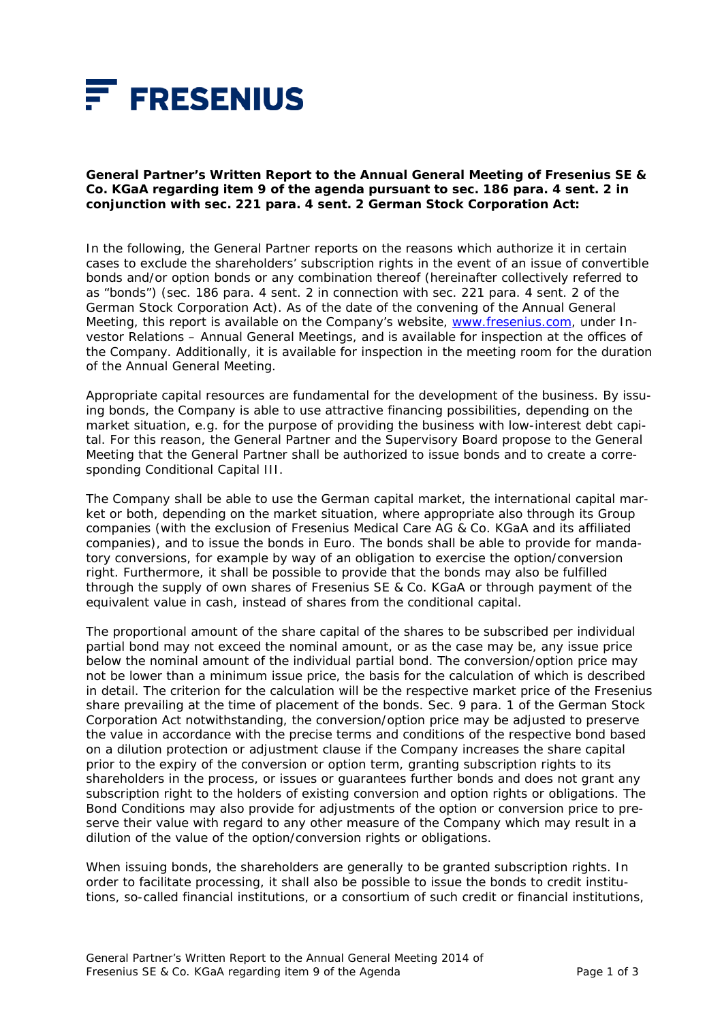

**General Partner's Written Report to the Annual General Meeting of Fresenius SE & Co. KGaA regarding item 9 of the agenda pursuant to sec. 186 para. 4 sent. 2 in conjunction with sec. 221 para. 4 sent. 2 German Stock Corporation Act:** 

In the following, the General Partner reports on the reasons which authorize it in certain cases to exclude the shareholders' subscription rights in the event of an issue of convertible bonds and/or option bonds or any combination thereof (hereinafter collectively referred to as "bonds") (sec. 186 para. 4 sent. 2 in connection with sec. 221 para. 4 sent. 2 of the German Stock Corporation Act). As of the date of the convening of the Annual General Meeting, this report is available on the Company's website, www.fresenius.com, under Investor Relations – Annual General Meetings, and is available for inspection at the offices of the Company. Additionally, it is available for inspection in the meeting room for the duration of the Annual General Meeting.

Appropriate capital resources are fundamental for the development of the business. By issuing bonds, the Company is able to use attractive financing possibilities, depending on the market situation, e.g. for the purpose of providing the business with low-interest debt capital. For this reason, the General Partner and the Supervisory Board propose to the General Meeting that the General Partner shall be authorized to issue bonds and to create a corresponding Conditional Capital III.

The Company shall be able to use the German capital market, the international capital market or both, depending on the market situation, where appropriate also through its Group companies (with the exclusion of Fresenius Medical Care AG & Co. KGaA and its affiliated companies), and to issue the bonds in Euro. The bonds shall be able to provide for mandatory conversions, for example by way of an obligation to exercise the option/conversion right. Furthermore, it shall be possible to provide that the bonds may also be fulfilled through the supply of own shares of Fresenius SE & Co. KGaA or through payment of the equivalent value in cash, instead of shares from the conditional capital.

The proportional amount of the share capital of the shares to be subscribed per individual partial bond may not exceed the nominal amount, or as the case may be, any issue price below the nominal amount of the individual partial bond. The conversion/option price may not be lower than a minimum issue price, the basis for the calculation of which is described in detail. The criterion for the calculation will be the respective market price of the Fresenius share prevailing at the time of placement of the bonds. Sec. 9 para. 1 of the German Stock Corporation Act notwithstanding, the conversion/option price may be adjusted to preserve the value in accordance with the precise terms and conditions of the respective bond based on a dilution protection or adjustment clause if the Company increases the share capital prior to the expiry of the conversion or option term, granting subscription rights to its shareholders in the process, or issues or guarantees further bonds and does not grant any subscription right to the holders of existing conversion and option rights or obligations. The Bond Conditions may also provide for adjustments of the option or conversion price to preserve their value with regard to any other measure of the Company which may result in a dilution of the value of the option/conversion rights or obligations.

When issuing bonds, the shareholders are generally to be granted subscription rights. In order to facilitate processing, it shall also be possible to issue the bonds to credit institutions, so-called financial institutions, or a consortium of such credit or financial institutions,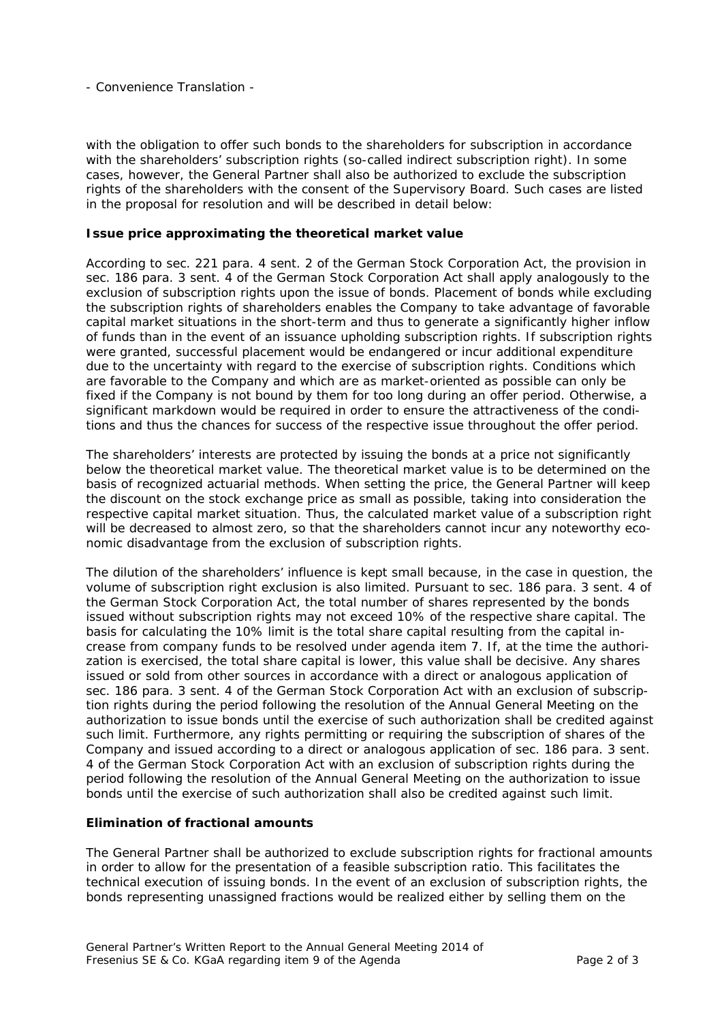- Convenience Translation -

with the obligation to offer such bonds to the shareholders for subscription in accordance with the shareholders' subscription rights (so-called indirect subscription right). In some cases, however, the General Partner shall also be authorized to exclude the subscription rights of the shareholders with the consent of the Supervisory Board. Such cases are listed in the proposal for resolution and will be described in detail below:

## *Issue price approximating the theoretical market value*

According to sec. 221 para. 4 sent. 2 of the German Stock Corporation Act, the provision in sec. 186 para. 3 sent. 4 of the German Stock Corporation Act shall apply analogously to the exclusion of subscription rights upon the issue of bonds. Placement of bonds while excluding the subscription rights of shareholders enables the Company to take advantage of favorable capital market situations in the short-term and thus to generate a significantly higher inflow of funds than in the event of an issuance upholding subscription rights. If subscription rights were granted, successful placement would be endangered or incur additional expenditure due to the uncertainty with regard to the exercise of subscription rights. Conditions which are favorable to the Company and which are as market-oriented as possible can only be fixed if the Company is not bound by them for too long during an offer period. Otherwise, a significant markdown would be required in order to ensure the attractiveness of the conditions and thus the chances for success of the respective issue throughout the offer period.

The shareholders' interests are protected by issuing the bonds at a price not significantly below the theoretical market value. The theoretical market value is to be determined on the basis of recognized actuarial methods. When setting the price, the General Partner will keep the discount on the stock exchange price as small as possible, taking into consideration the respective capital market situation. Thus, the calculated market value of a subscription right will be decreased to almost zero, so that the shareholders cannot incur any noteworthy economic disadvantage from the exclusion of subscription rights.

The dilution of the shareholders' influence is kept small because, in the case in question, the volume of subscription right exclusion is also limited. Pursuant to sec. 186 para. 3 sent. 4 of the German Stock Corporation Act, the total number of shares represented by the bonds issued without subscription rights may not exceed 10% of the respective share capital. The basis for calculating the 10% limit is the total share capital resulting from the capital increase from company funds to be resolved under agenda item 7. If, at the time the authorization is exercised, the total share capital is lower, this value shall be decisive. Any shares issued or sold from other sources in accordance with a direct or analogous application of sec. 186 para. 3 sent. 4 of the German Stock Corporation Act with an exclusion of subscription rights during the period following the resolution of the Annual General Meeting on the authorization to issue bonds until the exercise of such authorization shall be credited against such limit. Furthermore, any rights permitting or requiring the subscription of shares of the Company and issued according to a direct or analogous application of sec. 186 para. 3 sent. 4 of the German Stock Corporation Act with an exclusion of subscription rights during the period following the resolution of the Annual General Meeting on the authorization to issue bonds until the exercise of such authorization shall also be credited against such limit.

## *Elimination of fractional amounts*

The General Partner shall be authorized to exclude subscription rights for fractional amounts in order to allow for the presentation of a feasible subscription ratio. This facilitates the technical execution of issuing bonds. In the event of an exclusion of subscription rights, the bonds representing unassigned fractions would be realized either by selling them on the